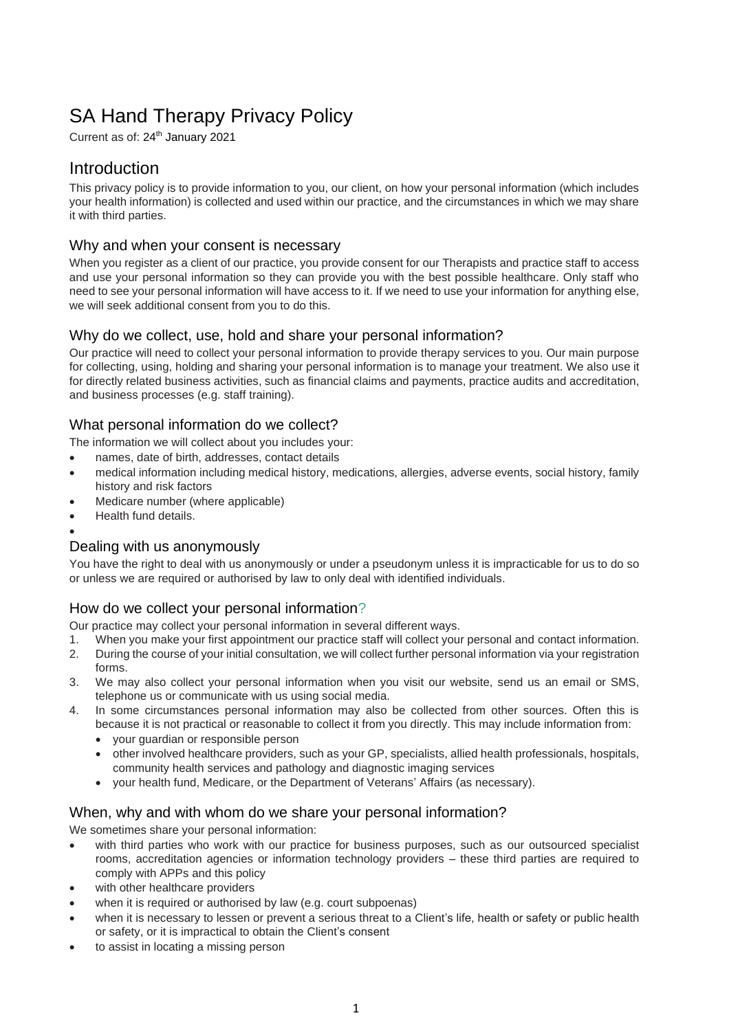# SA Hand Therapy Privacy Policy

Current as of: 24<sup>th</sup> January 2021

# Introduction

This privacy policy is to provide information to you, our client, on how your personal information (which includes your health information) is collected and used within our practice, and the circumstances in which we may share it with third parties.

#### Why and when your consent is necessary

When you register as a client of our practice, you provide consent for our Therapists and practice staff to access and use your personal information so they can provide you with the best possible healthcare. Only staff who need to see your personal information will have access to it. If we need to use your information for anything else, we will seek additional consent from you to do this.

## Why do we collect, use, hold and share your personal information?

Our practice will need to collect your personal information to provide therapy services to you. Our main purpose for collecting, using, holding and sharing your personal information is to manage your treatment. We also use it for directly related business activities, such as financial claims and payments, practice audits and accreditation, and business processes (e.g. staff training).

## What personal information do we collect?

The information we will collect about you includes your:

- names, date of birth, addresses, contact details
- medical information including medical history, medications, allergies, adverse events, social history, family history and risk factors
- Medicare number (where applicable)
- Health fund details.
- •

# Dealing with us anonymously

You have the right to deal with us anonymously or under a pseudonym unless it is impracticable for us to do so or unless we are required or authorised by law to only deal with identified individuals.

# How do we collect your personal information?

Our practice may collect your personal information in several different ways.

- 1. When you make your first appointment our practice staff will collect your personal and contact information.
- 2. During the course of your initial consultation, we will collect further personal information via your registration forms.
- 3. We may also collect your personal information when you visit our website, send us an email or SMS, telephone us or communicate with us using social media.
- 4. In some circumstances personal information may also be collected from other sources. Often this is because it is not practical or reasonable to collect it from you directly. This may include information from:
	- your guardian or responsible person
	- other involved healthcare providers, such as your GP, specialists, allied health professionals, hospitals, community health services and pathology and diagnostic imaging services
	- your health fund, Medicare, or the Department of Veterans' Affairs (as necessary).

#### When, why and with whom do we share your personal information?

We sometimes share your personal information:

- with third parties who work with our practice for business purposes, such as our outsourced specialist rooms, accreditation agencies or information technology providers – these third parties are required to comply with APPs and this policy
- with other healthcare providers
- when it is required or authorised by law (e.g. court subpoenas)
- when it is necessary to lessen or prevent a serious threat to a Client's life, health or safety or public health or safety, or it is impractical to obtain the Client's consent
- to assist in locating a missing person